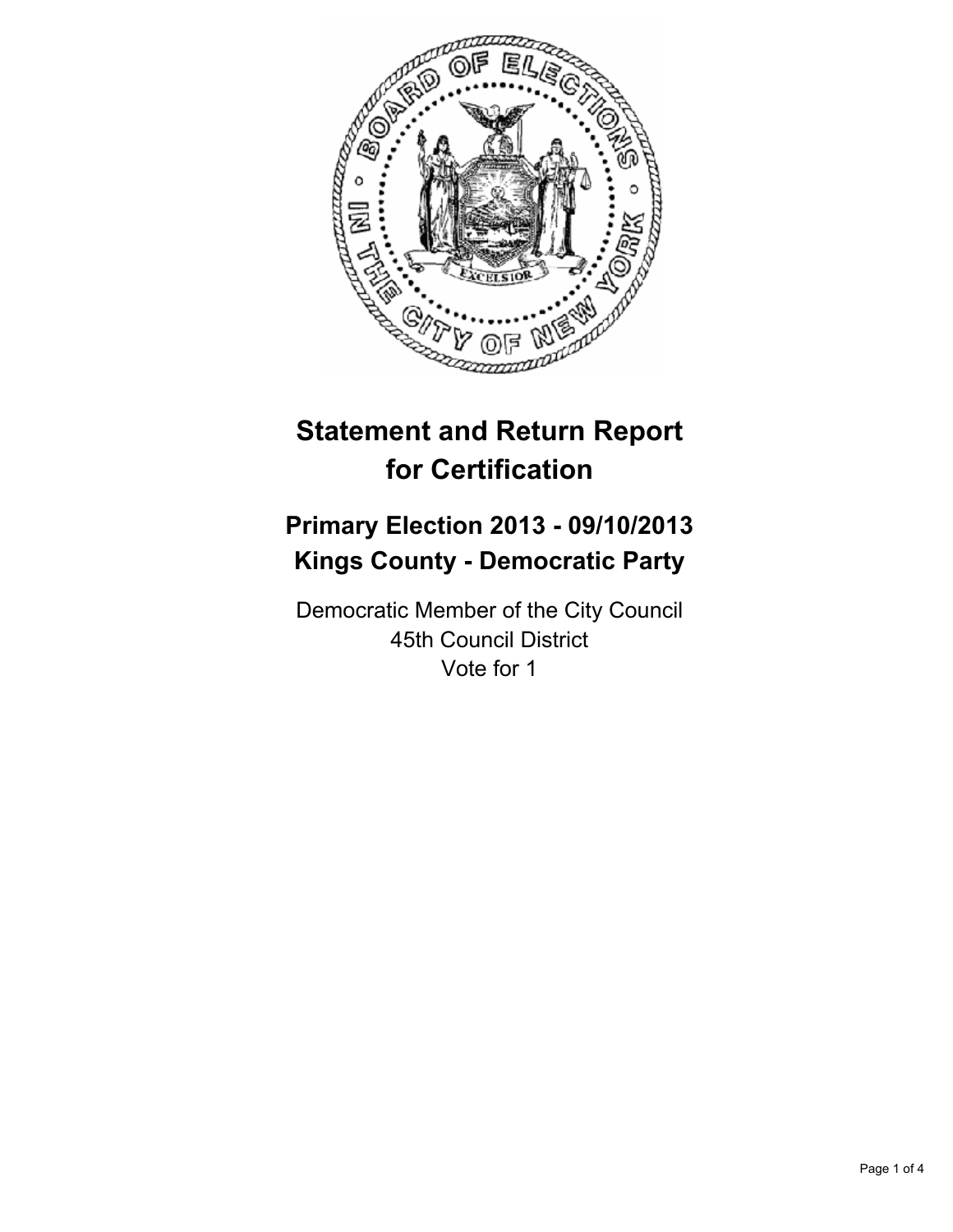

# **Statement and Return Report for Certification**

## **Primary Election 2013 - 09/10/2013 Kings County - Democratic Party**

Democratic Member of the City Council 45th Council District Vote for 1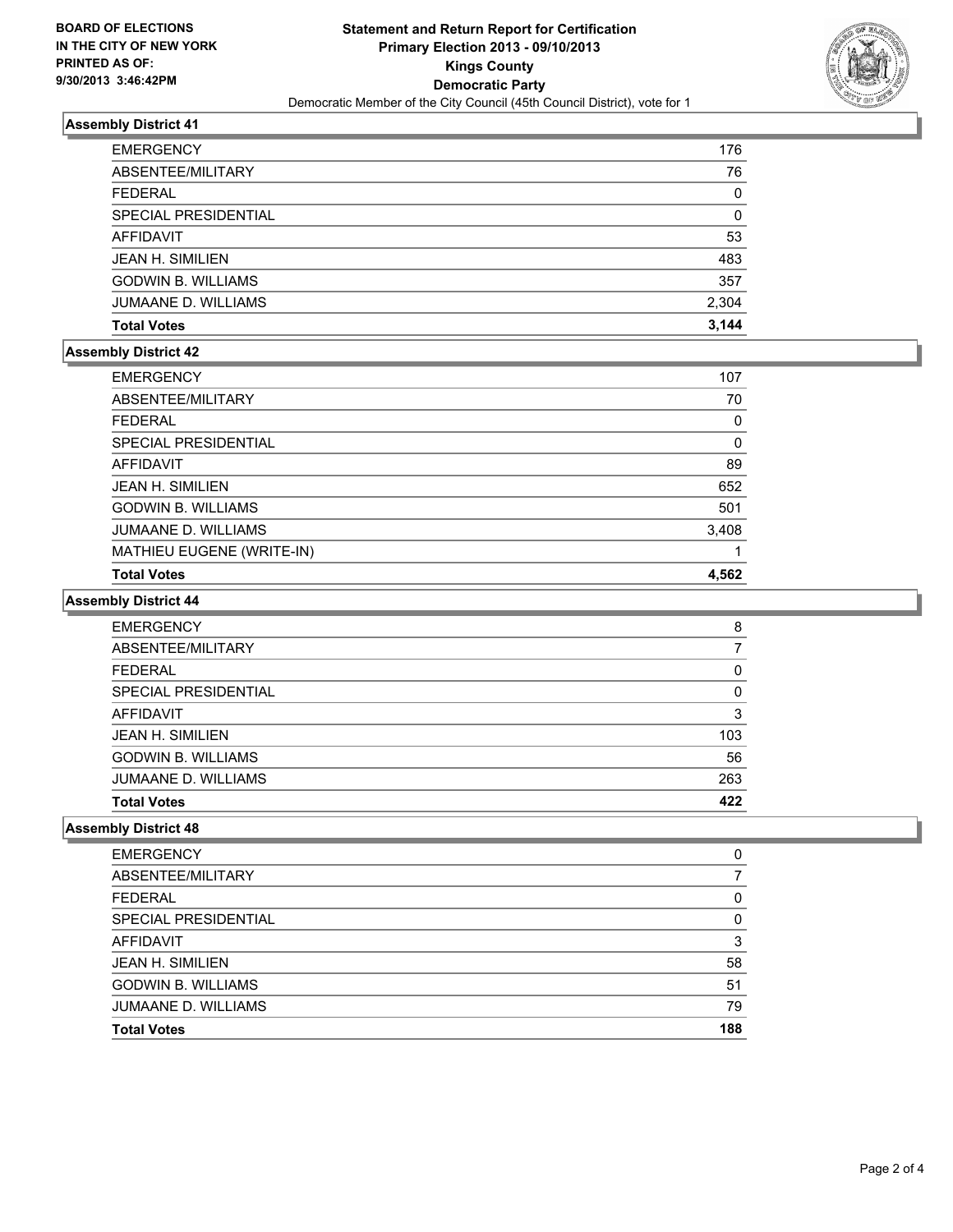

### **Assembly District 41**

| <b>EMERGENCY</b>          | 176   |
|---------------------------|-------|
| ABSENTEE/MILITARY         | 76    |
| <b>FEDERAL</b>            | 0     |
| SPECIAL PRESIDENTIAL      | 0     |
| <b>AFFIDAVIT</b>          | 53    |
| <b>JEAN H. SIMILIEN</b>   | 483   |
| <b>GODWIN B. WILLIAMS</b> | 357   |
| JUMAANE D. WILLIAMS       | 2,304 |
| <b>Total Votes</b>        | 3.144 |

#### **Assembly District 42**

| <b>EMERGENCY</b>           | 107   |
|----------------------------|-------|
| ABSENTEE/MILITARY          | 70    |
| <b>FEDERAL</b>             | 0     |
| SPECIAL PRESIDENTIAL       | 0     |
| AFFIDAVIT                  | 89    |
| <b>JEAN H. SIMILIEN</b>    | 652   |
| <b>GODWIN B. WILLIAMS</b>  | 501   |
| <b>JUMAANE D. WILLIAMS</b> | 3,408 |
| MATHIEU EUGENE (WRITE-IN)  |       |
| <b>Total Votes</b>         | 4,562 |

### **Assembly District 44**

| <b>EMERGENCY</b>           | 8   |
|----------------------------|-----|
| ABSENTEE/MILITARY          |     |
| <b>FEDERAL</b>             | 0   |
| SPECIAL PRESIDENTIAL       | 0   |
| AFFIDAVIT                  | 3   |
| <b>JEAN H. SIMILIEN</b>    | 103 |
| <b>GODWIN B. WILLIAMS</b>  | 56  |
| <b>JUMAANE D. WILLIAMS</b> | 263 |
| <b>Total Votes</b>         | 422 |

#### **Assembly District 48**

| <b>EMERGENCY</b>           | 0   |
|----------------------------|-----|
| ABSENTEE/MILITARY          |     |
| <b>FEDERAL</b>             | 0   |
| SPECIAL PRESIDENTIAL       | 0   |
| AFFIDAVIT                  | 3   |
| <b>JEAN H. SIMILIEN</b>    | 58  |
| <b>GODWIN B. WILLIAMS</b>  | 51  |
| <b>JUMAANE D. WILLIAMS</b> | 79  |
| <b>Total Votes</b>         | 188 |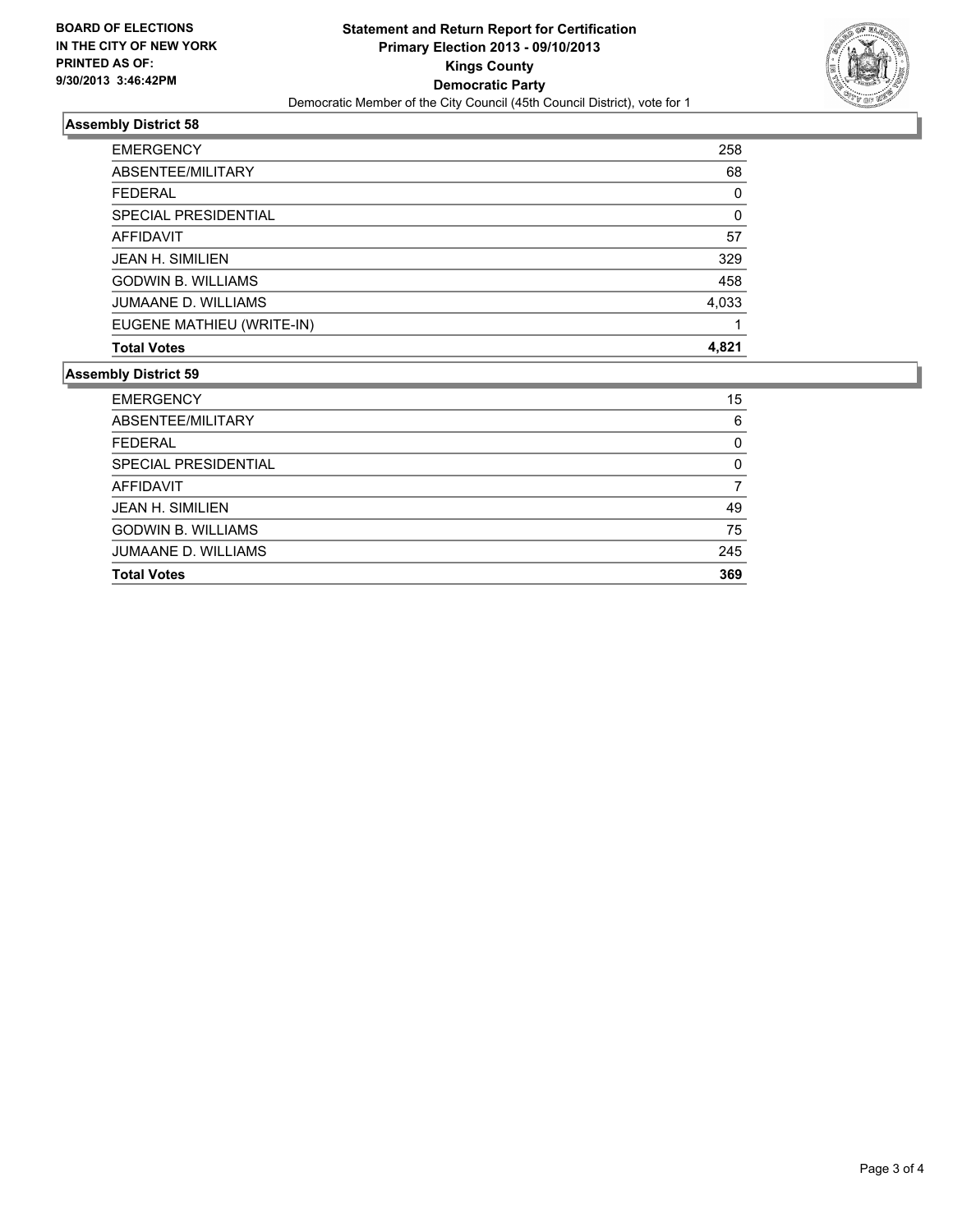

## **Assembly District 58**

| <b>EMERGENCY</b>           | 258      |
|----------------------------|----------|
| ABSENTEE/MILITARY          | 68       |
| FFDFRAL                    | $\Omega$ |
| SPECIAL PRESIDENTIAL       | 0        |
| AFFIDAVIT                  | 57       |
| <b>JEAN H. SIMILIEN</b>    | 329      |
| <b>GODWIN B. WILLIAMS</b>  | 458      |
| <b>JUMAANE D. WILLIAMS</b> | 4,033    |
| EUGENE MATHIEU (WRITE-IN)  |          |
| <b>Total Votes</b>         | 4.821    |

## **Assembly District 59**

| 15  |
|-----|
| 6   |
| 0   |
| 0   |
| 7   |
| 49  |
| 75  |
| 245 |
| 369 |
|     |